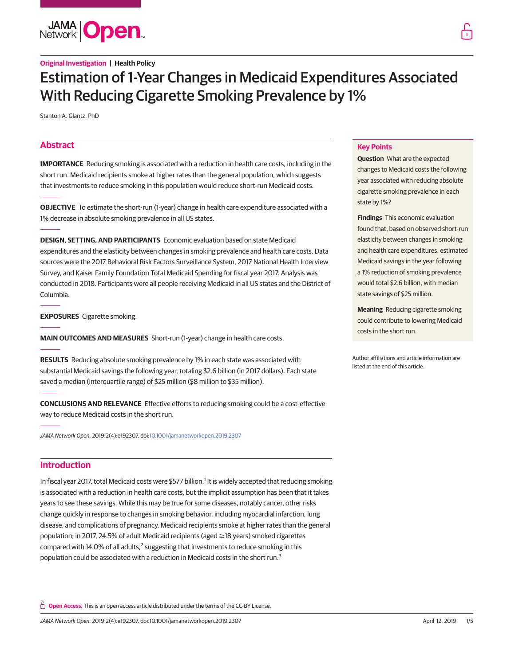**JAMA Open** 

# Estimation of 1-Year Changes in Medicaid Expenditures Associated With Reducing Cigarette Smoking Prevalence by 1%

Stanton A. Glantz, PhD

# **Abstract**

**IMPORTANCE** Reducing smoking is associated with a reduction in health care costs, including in the short run. Medicaid recipients smoke at higher rates than the general population, which suggests that investments to reduce smoking in this population would reduce short-run Medicaid costs.

**OBJECTIVE** To estimate the short-run (1-year) change in health care expenditure associated with a 1% decrease in absolute smoking prevalence in all US states.

**DESIGN, SETTING, AND PARTICIPANTS** Economic evaluation based on state Medicaid expenditures and the elasticity between changes in smoking prevalence and health care costs. Data sources were the 2017 Behavioral Risk Factors Surveillance System, 2017 National Health Interview Survey, and Kaiser Family Foundation Total Medicaid Spending for fiscal year 2017. Analysis was conducted in 2018. Participants were all people receiving Medicaid in all US states and the District of Columbia.

**EXPOSURES** Cigarette smoking.

**MAIN OUTCOMES AND MEASURES** Short-run (1-year) change in health care costs.

**RESULTS** Reducing absolute smoking prevalence by 1% in each state was associated with substantial Medicaid savings the following year, totaling \$2.6 billion (in 2017 dollars). Each state saved a median (interquartile range) of \$25 million (\$8 million to \$35 million).

**CONCLUSIONS AND RELEVANCE** Effective efforts to reducing smoking could be a cost-effective way to reduce Medicaid costs in the short run.

JAMA Network Open. 2019;2(4):e192307. doi[:10.1001/jamanetworkopen.2019.2307](https://jama.jamanetwork.com/article.aspx?doi=10.1001/jamanetworkopen.2019.2307&utm_campaign=articlePDF%26utm_medium=articlePDFlink%26utm_source=articlePDF%26utm_content=jamanetworkopen.2019.2307)

# **Introduction**

In fiscal year 2017, total Medicaid costs were \$577 billion.<sup>1</sup> It is widely accepted that reducing smoking is associated with a reduction in health care costs, but the implicit assumption has been that it takes years to see these savings. While this may be true for some diseases, notably cancer, other risks change quickly in response to changes in smoking behavior, including myocardial infarction, lung disease, and complications of pregnancy. Medicaid recipients smoke at higher rates than the general population; in 2017, 24.5% of adult Medicaid recipients (aged ≥18 years) smoked cigarettes compared with 14.0% of all adults,<sup>2</sup> suggesting that investments to reduce smoking in this population could be associated with a reduction in Medicaid costs in the short run.3

**Open Access.** This is an open access article distributed under the terms of the CC-BY License.

## **Key Points**

**Question** What are the expected changes to Medicaid costs the following year associated with reducing absolute cigarette smoking prevalence in each state by 1%?

**Findings** This economic evaluation found that, based on observed short-run elasticity between changes in smoking and health care expenditures, estimated Medicaid savings in the year following a 1% reduction of smoking prevalence would total \$2.6 billion, with median state savings of \$25 million.

**Meaning** Reducing cigarette smoking could contribute to lowering Medicaid costs in the short run.

Author affiliations and article information are listed at the end of this article.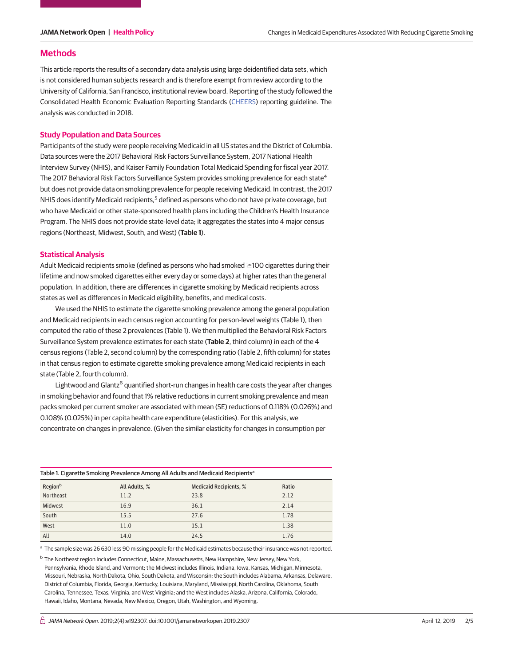## **Methods**

This article reports the results of a secondary data analysis using large deidentified data sets, which is not considered human subjects research and is therefore exempt from review according to the University of California, San Francisco, institutional review board. Reporting of the study followed the Consolidated Health Economic Evaluation Reporting Standards [\(CHEERS\)](http://www.equator-network.org/reporting-guidelines/cheers/) reporting guideline. The analysis was conducted in 2018.

#### **Study Population and Data Sources**

Participants of the study were people receiving Medicaid in all US states and the District of Columbia. Data sources were the 2017 Behavioral Risk Factors Surveillance System, 2017 National Health Interview Survey (NHIS), and Kaiser Family Foundation Total Medicaid Spending for fiscal year 2017. The 2017 Behavioral Risk Factors Surveillance System provides smoking prevalence for each state<sup>4</sup> but does not provide data on smoking prevalence for people receiving Medicaid. In contrast, the 2017 NHIS does identify Medicaid recipients,<sup>5</sup> defined as persons who do not have private coverage, but who have Medicaid or other state-sponsored health plans including the Children's Health Insurance Program. The NHIS does not provide state-level data; it aggregates the states into 4 major census regions (Northeast, Midwest, South, and West) (**Table 1**).

#### **Statistical Analysis**

Adult Medicaid recipients smoke (defined as persons who had smoked ≥100 cigarettes during their lifetime and now smoked cigarettes either every day or some days) at higher rates than the general population. In addition, there are differences in cigarette smoking by Medicaid recipients across states as well as differences in Medicaid eligibility, benefits, and medical costs.

We used the NHIS to estimate the cigarette smoking prevalence among the general population and Medicaid recipients in each census region accounting for person-level weights (Table 1), then computed the ratio of these 2 prevalences (Table 1). We then multiplied the Behavioral Risk Factors Surveillance System prevalence estimates for each state (**Table 2**, third column) in each of the 4 census regions (Table 2, second column) by the corresponding ratio (Table 2, fifth column) for states in that census region to estimate cigarette smoking prevalence among Medicaid recipients in each state (Table 2, fourth column).

Lightwood and Glantz<sup>6</sup> quantified short-run changes in health care costs the year after changes in smoking behavior and found that 1% relative reductions in current smoking prevalence and mean packs smoked per current smoker are associated with mean (SE) reductions of 0.118% (0.026%) and 0.108% (0.025%) in per capita health care expenditure (elasticities). For this analysis, we concentrate on changes in prevalence. (Given the similar elasticity for changes in consumption per

| Table 1. Cigarette Smoking Prevalence Among All Adults and Medicaid Recipients <sup>a</sup> |               |                               |       |  |  |  |  |
|---------------------------------------------------------------------------------------------|---------------|-------------------------------|-------|--|--|--|--|
| Region <sup>b</sup>                                                                         | All Adults, % | <b>Medicaid Recipients, %</b> | Ratio |  |  |  |  |
| Northeast                                                                                   | 11.2          | 23.8                          | 2.12  |  |  |  |  |
| Midwest                                                                                     | 16.9          | 36.1                          | 2.14  |  |  |  |  |
| South                                                                                       | 15.5          | 27.6                          | 1.78  |  |  |  |  |
| West                                                                                        | 11.0          | 15.1                          | 1.38  |  |  |  |  |
| All                                                                                         | 14.0          | 24.5                          | 1.76  |  |  |  |  |

<sup>a</sup> The sample size was 26 630 less 90 missing people for the Medicaid estimates because their insurance was not reported.

<sup>b</sup> The Northeast region includes Connecticut, Maine, Massachusetts, New Hampshire, New Jersey, New York, Pennsylvania, Rhode Island, and Vermont; the Midwest includes Illinois, Indiana, Iowa, Kansas, Michigan, Minnesota, Missouri, Nebraska, North Dakota, Ohio, South Dakota, and Wisconsin; the South includes Alabama, Arkansas, Delaware, District of Columbia, Florida, Georgia, Kentucky, Louisiana, Maryland, Mississippi, North Carolina, Oklahoma, South Carolina, Tennessee, Texas, Virginia, and West Virginia; and the West includes Alaska, Arizona, California, Colorado, Hawaii, Idaho, Montana, Nevada, New Mexico, Oregon, Utah, Washington, and Wyoming.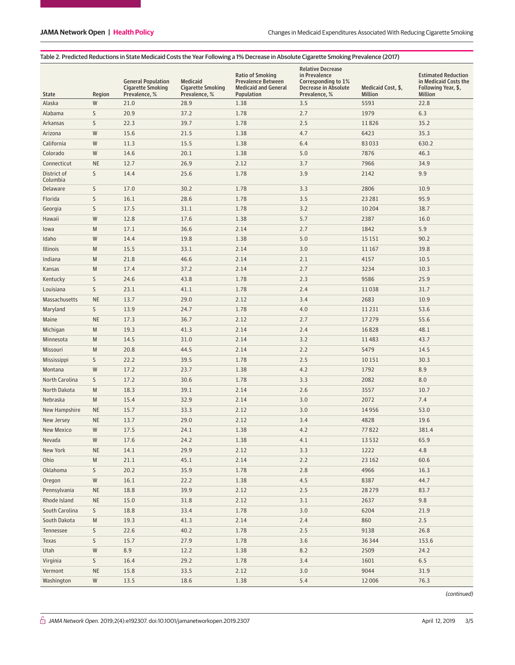#### Table 2. Predicted Reductions in State Medicaid Costs the Year Following a 1% Decrease in Absolute Cigarette Smoking Prevalence (2017)

| <b>State</b>            | Region    | <b>General Population</b><br><b>Cigarette Smoking</b><br>Prevalence, % | Medicaid<br><b>Cigarette Smoking</b><br>Prevalence, % | <b>Ratio of Smoking</b><br><b>Prevalence Between</b><br><b>Medicaid and General</b><br>Population | <b>Relative Decrease</b><br>in Prevalence<br>Corresponding to 1%<br>Decrease in Absolute<br>Prevalence, % | Medicaid Cost, \$,<br>Million | <b>Estimated Reduction</b><br>in Medicaid Costs the<br>Following Year, \$,<br><b>Million</b> |
|-------------------------|-----------|------------------------------------------------------------------------|-------------------------------------------------------|---------------------------------------------------------------------------------------------------|-----------------------------------------------------------------------------------------------------------|-------------------------------|----------------------------------------------------------------------------------------------|
| Alaska                  | W         | 21.0                                                                   | 28.9                                                  | 1.38                                                                                              | 3.5                                                                                                       | 5593                          | 22.8                                                                                         |
| Alabama                 | S         | 20.9                                                                   | 37.2                                                  | 1.78                                                                                              | 2.7                                                                                                       | 1979                          | 6.3                                                                                          |
| Arkansas                | S         | 22.3                                                                   | 39.7                                                  | 1.78                                                                                              | 2.5                                                                                                       | 11826                         | 35.2                                                                                         |
| Arizona                 | W         | 15.6                                                                   | 21.5                                                  | 1.38                                                                                              | 4.7                                                                                                       | 6423                          | 35.3                                                                                         |
| California              | W         | 11.3                                                                   | 15.5                                                  | 1.38                                                                                              | 6.4                                                                                                       | 83033                         | 630.2                                                                                        |
| Colorado                | W         | 14.6                                                                   | 20.1                                                  | 1.38                                                                                              | 5.0                                                                                                       | 7876                          | 46.3                                                                                         |
| Connecticut             | <b>NE</b> | 12.7                                                                   | 26.9                                                  | 2.12                                                                                              | 3.7                                                                                                       | 7966                          | 34.9                                                                                         |
| District of<br>Columbia | S         | 14.4                                                                   | 25.6                                                  | 1.78                                                                                              | 3.9                                                                                                       | 2142                          | 9.9                                                                                          |
| Delaware                | S         | 17.0                                                                   | 30.2                                                  | 1.78                                                                                              | 3.3                                                                                                       | 2806                          | 10.9                                                                                         |
| Florida                 | S         | 16.1                                                                   | 28.6                                                  | 1.78                                                                                              | 3.5                                                                                                       | 23 28 1                       | 95.9                                                                                         |
| Georgia                 | S         | 17.5                                                                   | 31.1                                                  | 1.78                                                                                              | 3.2                                                                                                       | 10204                         | 38.7                                                                                         |
| Hawaii                  | W         | 12.8                                                                   | 17.6                                                  | 1.38                                                                                              | 5.7                                                                                                       | 2387                          | 16.0                                                                                         |
| lowa                    | M         | 17.1                                                                   | 36.6                                                  | 2.14                                                                                              | 2.7                                                                                                       | 1842                          | 5.9                                                                                          |
| Idaho                   | W         | 14.4                                                                   | 19.8                                                  | 1.38                                                                                              | 5.0                                                                                                       | 15 15 1                       | 90.2                                                                                         |
| Illinois                | M         | 15.5                                                                   | 33.1                                                  | 2.14                                                                                              | 3.0                                                                                                       | 11 167                        | 39.8                                                                                         |
| Indiana                 | M         | 21.8                                                                   | 46.6                                                  | 2.14                                                                                              | 2.1                                                                                                       | 4157                          | 10.5                                                                                         |
| Kansas                  | M         | 17.4                                                                   | 37.2                                                  | 2.14                                                                                              | 2.7                                                                                                       | 3234                          | 10.3                                                                                         |
| Kentucky                | S         | 24.6                                                                   | 43.8                                                  | 1.78                                                                                              | 2.3                                                                                                       | 9586                          | 25.9                                                                                         |
| Louisiana               | S         | 23.1                                                                   | 41.1                                                  | 1.78                                                                                              | 2.4                                                                                                       | 11038                         | 31.7                                                                                         |
| <b>Massachusetts</b>    | <b>NE</b> | 13.7                                                                   | 29.0                                                  | 2.12                                                                                              | 3.4                                                                                                       | 2683                          | 10.9                                                                                         |
| Maryland                | S         | 13.9                                                                   | 24.7                                                  | 1.78                                                                                              | 4.0                                                                                                       | 11231                         | 53.6                                                                                         |
| Maine                   | <b>NE</b> | 17.3                                                                   | 36.7                                                  | 2.12                                                                                              | 2.7                                                                                                       | 17279                         | 55.6                                                                                         |
| Michigan                | M         | 19.3                                                                   | 41.3                                                  | 2.14                                                                                              | 2.4                                                                                                       | 16828                         | 48.1                                                                                         |
| Minnesota               | M         | 14.5                                                                   | 31.0                                                  | 2.14                                                                                              | 3.2                                                                                                       | 11483                         | 43.7                                                                                         |
| Missouri                | M         | 20.8                                                                   | 44.5                                                  | 2.14                                                                                              | 2.2                                                                                                       | 5479                          | 14.5                                                                                         |
| Mississippi             | S         | 22.2                                                                   | 39.5                                                  | 1.78                                                                                              | 2.5                                                                                                       | 10151                         | 30.3                                                                                         |
| Montana                 | W         | 17.2                                                                   | 23.7                                                  | 1.38                                                                                              | 4.2                                                                                                       | 1792                          | 8.9                                                                                          |
| North Carolina          | S         | 17.2                                                                   | 30.6                                                  | 1.78                                                                                              | 3.3                                                                                                       | 2082                          | 8.0                                                                                          |
| North Dakota            | M         | 18.3                                                                   | 39.1                                                  | 2.14                                                                                              | 2.6                                                                                                       | 3557                          | 10.7                                                                                         |
| Nebraska                | M         | 15.4                                                                   | 32.9                                                  | 2.14                                                                                              | 3.0                                                                                                       | 2072                          | 7.4                                                                                          |
| New Hampshire           | <b>NE</b> | 15.7                                                                   | 33.3                                                  | 2.12                                                                                              | 3.0                                                                                                       | 14956                         | 53.0                                                                                         |
| New Jersey              | <b>NE</b> | 13.7                                                                   | 29.0                                                  | 2.12                                                                                              | 3.4                                                                                                       | 4828                          | 19.6                                                                                         |
| <b>New Mexico</b>       | W         | 17.5                                                                   | 24.1                                                  | 1.38                                                                                              | 4.2                                                                                                       | 77822                         | 381.4                                                                                        |
| Nevada                  | W         | 17.6                                                                   | 24.2                                                  | 1.38                                                                                              | 4.1                                                                                                       | 13532                         | 65.9                                                                                         |
| New York                | <b>NE</b> | 14.1                                                                   | 29.9                                                  | 2.12                                                                                              | 3.3                                                                                                       | 1222                          | 4.8                                                                                          |
| Ohio                    | M         | 21.1                                                                   | 45.1                                                  | 2.14                                                                                              | 2.2                                                                                                       | 23 16 2                       | 60.6                                                                                         |
| Oklahoma                | S         | 20.2                                                                   | 35.9                                                  | 1.78                                                                                              | 2.8                                                                                                       | 4966                          | 16.3                                                                                         |
| Oregon                  | ${\sf W}$ | 16.1                                                                   | 22.2                                                  | 1.38                                                                                              | 4.5                                                                                                       | 8387                          | 44.7                                                                                         |
| Pennsylvania            | $\sf NE$  | 18.8                                                                   | 39.9                                                  | 2.12                                                                                              | 2.5                                                                                                       | 28279                         | 83.7                                                                                         |
| Rhode Island            | $\sf NE$  | 15.0                                                                   | 31.8                                                  | 2.12                                                                                              | 3.1                                                                                                       | 2637                          | 9.8                                                                                          |
| South Carolina          | S         | 18.8                                                                   | 33.4                                                  | 1.78                                                                                              | 3.0                                                                                                       | 6204                          | 21.9                                                                                         |
| South Dakota            | M         | 19.3                                                                   | 41.3                                                  | 2.14                                                                                              | 2.4                                                                                                       | 860                           | 2.5                                                                                          |
| Tennessee               | S         | 22.6                                                                   | 40.2                                                  | 1.78                                                                                              | 2.5                                                                                                       | 9138                          | 26.8                                                                                         |
| Texas                   | S         | 15.7                                                                   | 27.9                                                  | 1.78                                                                                              | 3.6                                                                                                       | 36344                         | 153.6                                                                                        |
| Utah                    | ${\sf W}$ | 8.9                                                                    | 12.2                                                  | 1.38                                                                                              | 8.2                                                                                                       | 2509                          | 24.2                                                                                         |
| Virginia                | S         | 16.4                                                                   | 29.2                                                  | 1.78                                                                                              | 3.4                                                                                                       | 1601                          | 6.5                                                                                          |
| Vermont                 | $\sf NE$  | 15.8                                                                   | 33.5                                                  | 2.12                                                                                              | 3.0                                                                                                       | 9044                          | 31.9                                                                                         |
| Washington              | ${\sf W}$ | 13.5                                                                   | 18.6                                                  | 1.38                                                                                              | 5.4                                                                                                       | 12006                         | 76.3                                                                                         |

(continued)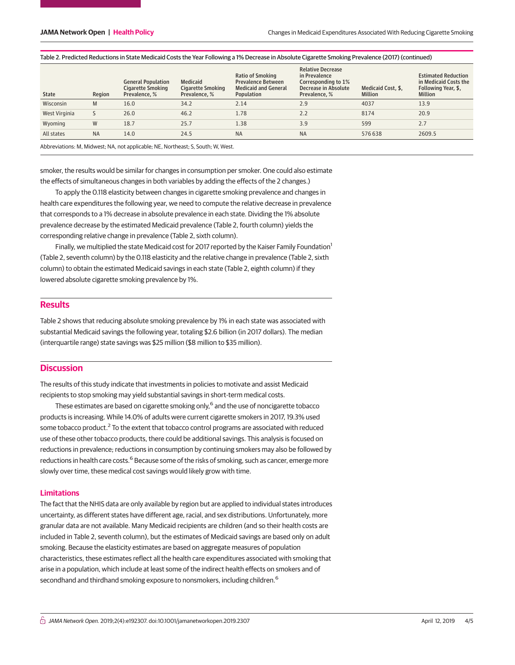| <b>Relative Decrease</b><br><b>Ratio of Smoking</b><br>in Prevalence<br><b>General Population</b><br>Medicaid<br><b>Prevalence Between</b><br>Corresponding to 1%<br><b>Medicaid and General</b><br>Cigarette Smoking<br>Decrease in Absolute<br>Medicaid Cost. \$.<br>Cigarette Smoking<br>Region<br>Population<br>Prevalence, %<br><b>State</b><br>Prevalence, %<br>Prevalence, %<br>Million | <b>Estimated Reduction</b><br>in Medicaid Costs the<br>Following Year, \$,<br>Million |
|------------------------------------------------------------------------------------------------------------------------------------------------------------------------------------------------------------------------------------------------------------------------------------------------------------------------------------------------------------------------------------------------|---------------------------------------------------------------------------------------|
| Wisconsin<br>13.9<br>16.0<br>34.2<br>2.14<br>2.9<br>4037<br>M                                                                                                                                                                                                                                                                                                                                  |                                                                                       |
| 2.2<br>46.2<br>8174<br>20.9<br>West Virginia<br>26.0<br>1.78                                                                                                                                                                                                                                                                                                                                   |                                                                                       |
| W<br>3.9<br>2.7<br>18.7<br>25.7<br>1.38<br>Wyoming<br>599                                                                                                                                                                                                                                                                                                                                      |                                                                                       |
| <b>NA</b><br><b>NA</b><br><b>NA</b><br>14.0<br>24.5<br>All states<br>576 638                                                                                                                                                                                                                                                                                                                   | 2609.5                                                                                |

## Table 2. Predicted Reductions in State Medicaid Costs the Year Following a 1% Decrease in Absolute Cigarette Smoking Prevalence (2017) (continued)

Abbreviations: M, Midwest; NA, not applicable; NE, Northeast; S, South; W, West.

smoker, the results would be similar for changes in consumption per smoker. One could also estimate the effects of simultaneous changes in both variables by adding the effects of the 2 changes.)

To apply the 0.118 elasticity between changes in cigarette smoking prevalence and changes in health care expenditures the following year, we need to compute the relative decrease in prevalence that corresponds to a 1% decrease in absolute prevalence in each state. Dividing the 1% absolute prevalence decrease by the estimated Medicaid prevalence (Table 2, fourth column) yields the corresponding relative change in prevalence (Table 2, sixth column).

Finally, we multiplied the state Medicaid cost for 2017 reported by the Kaiser Family Foundation<sup>1</sup> (Table 2, seventh column) by the 0.118 elasticity and the relative change in prevalence (Table 2, sixth column) to obtain the estimated Medicaid savings in each state (Table 2, eighth column) if they lowered absolute cigarette smoking prevalence by 1%.

## **Results**

Table 2 shows that reducing absolute smoking prevalence by 1% in each state was associated with substantial Medicaid savings the following year, totaling \$2.6 billion (in 2017 dollars). The median (interquartile range) state savings was \$25 million (\$8 million to \$35 million).

## **Discussion**

The results of this study indicate that investments in policies to motivate and assist Medicaid recipients to stop smoking may yield substantial savings in short-term medical costs.

These estimates are based on cigarette smoking only,<sup>6</sup> and the use of noncigarette tobacco products is increasing. While 14.0% of adults were current cigarette smokers in 2017, 19.3% used some tobacco product.<sup>2</sup> To the extent that tobacco control programs are associated with reduced use of these other tobacco products, there could be additional savings. This analysis is focused on reductions in prevalence; reductions in consumption by continuing smokers may also be followed by reductions in health care costs.<sup>6</sup> Because some of the risks of smoking, such as cancer, emerge more slowly over time, these medical cost savings would likely grow with time.

## **Limitations**

The fact that the NHIS data are only available by region but are applied to individual states introduces uncertainty, as different states have different age, racial, and sex distributions. Unfortunately, more granular data are not available. Many Medicaid recipients are children (and so their health costs are included in Table 2, seventh column), but the estimates of Medicaid savings are based only on adult smoking. Because the elasticity estimates are based on aggregate measures of population characteristics, these estimates reflect all the health care expenditures associated with smoking that arise in a population, which include at least some of the indirect health effects on smokers and of secondhand and thirdhand smoking exposure to nonsmokers, including children.<sup>6</sup>